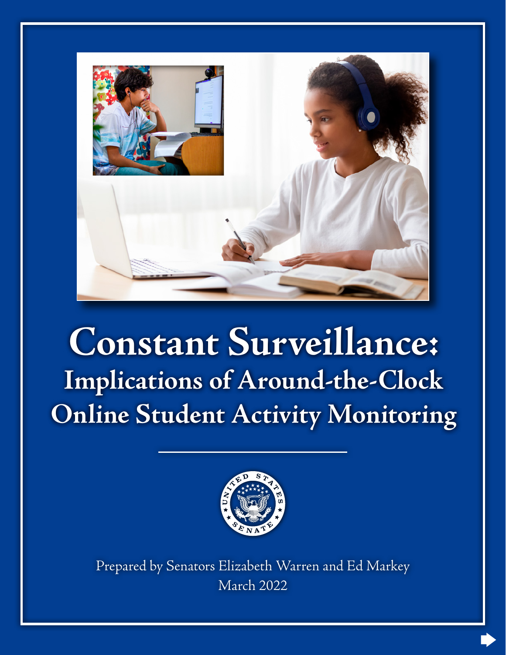

## **Constant Surveillance: Implications of Around-the-Clock Online Student Activity Monitoring**



Prepared by Senators Elizabeth Warren and Ed Markey March 2022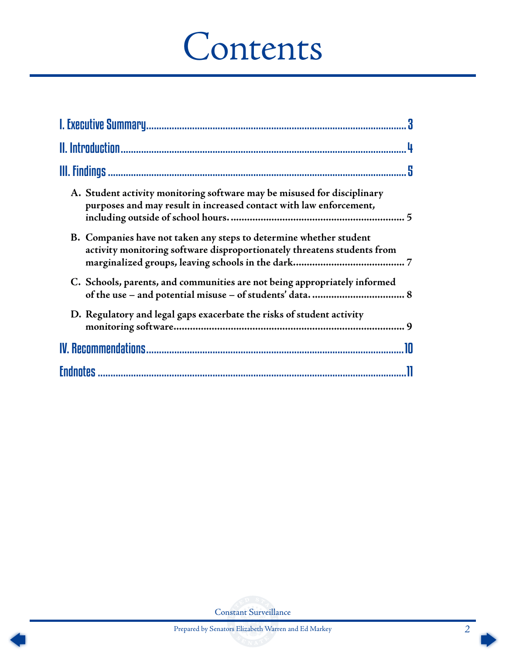# Contents

| A. Student activity monitoring software may be misused for disciplinary<br>purposes and may result in increased contact with law enforcement, |
|-----------------------------------------------------------------------------------------------------------------------------------------------|
| B. Companies have not taken any steps to determine whether student<br>activity monitoring software disproportionately threatens students from |
| C. Schools, parents, and communities are not being appropriately informed                                                                     |
| D. Regulatory and legal gaps exacerbate the risks of student activity                                                                         |
|                                                                                                                                               |
|                                                                                                                                               |

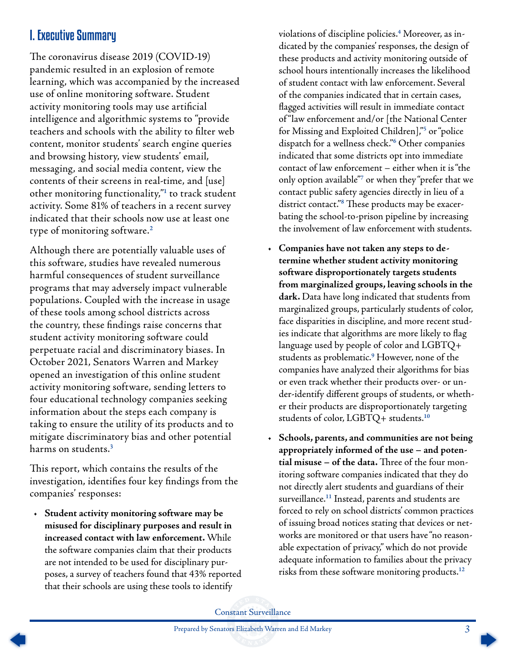## <span id="page-2-0"></span>I. Executive Summary

The coronavirus disease 2019 (COVID-19) pandemic resulted in an explosion of remote learning, which was accompanied by the increased use of online monitoring software. Student activity monitoring tools may use artificial intelligence and algorithmic systems to "provide teachers and schools with the ability to filter web content, monitor students' search engine queries and browsing history, view students' email, messaging, and social media content, view the contents of their screens in real-time, and [use] other monitoring functionality,"**[1](#page-10-0)** to track student activity. Some 81% of teachers in a recent survey indicated that their schools now use at least one type of monitoring software.**[2](#page-10-0)**

Although there are potentially valuable uses of this software, studies have revealed numerous harmful consequences of student surveillance programs that may adversely impact vulnerable populations. Coupled with the increase in usage of these tools among school districts across the country, these findings raise concerns that student activity monitoring software could perpetuate racial and discriminatory biases. In October 2021, Senators Warren and Markey opened an investigation of this online student activity monitoring software, sending letters to four educational technology companies seeking information about the steps each company is taking to ensure the utility of its products and to mitigate discriminatory bias and other potential harms on students.**[3](#page-10-0)**

This report, which contains the results of the investigation, identifies four key findings from the companies' responses:

• **Student activity monitoring software may be misused for disciplinary purposes and result in increased contact with law enforcement.** While the software companies claim that their products are not intended to be used for disciplinary purposes, a survey of teachers found that 43% reported that their schools are using these tools to identify

violations of discipline policies.**[4](#page-10-0)** Moreover, as indicated by the companies' responses, the design of these products and activity monitoring outside of school hours intentionally increases the likelihood of student contact with law enforcement. Several of the companies indicated that in certain cases, flagged activities will result in immediate contact of "law enforcement and/or [the National Center for Missing and Exploited Children],"**[5](#page-10-0)** or "police dispatch for a wellness check."**[6](#page-10-0)** Other companies indicated that some districts opt into immediate contact of law enforcement – either when it is "the only option available"**[7](#page-10-0)** or when they "prefer that we contact public safety agencies directly in lieu of a district contact."**[8](#page-10-0)** These products may be exacerbating the school-to-prison pipeline by increasing the involvement of law enforcement with students.

- **Companies have not taken any steps to determine whether student activity monitoring software disproportionately targets students from marginalized groups, leaving schools in the dark.** Data have long indicated that students from marginalized groups, particularly students of color, face disparities in discipline, and more recent studies indicate that algorithms are more likely to flag language used by people of color and LGBTQ+ students as problematic.**[9](#page-10-0)** However, none of the companies have analyzed their algorithms for bias or even track whether their products over- or under-identify different groups of students, or whether their products are disproportionately targeting students of color, LGBTQ+ students.**[10](#page-10-0)**
- **Schools, parents, and communities are not being appropriately informed of the use – and potential misuse – of the data.** Three of the four monitoring software companies indicated that they do not directly alert students and guardians of their surveillance.**[11](#page-10-0)** Instead, parents and students are forced to rely on school districts' common practices of issuing broad notices stating that devices or networks are monitored or that users have "no reasonable expectation of privacy," which do not provide adequate information to families about the privacy risks from these software monitoring products.**[12](#page-10-0)**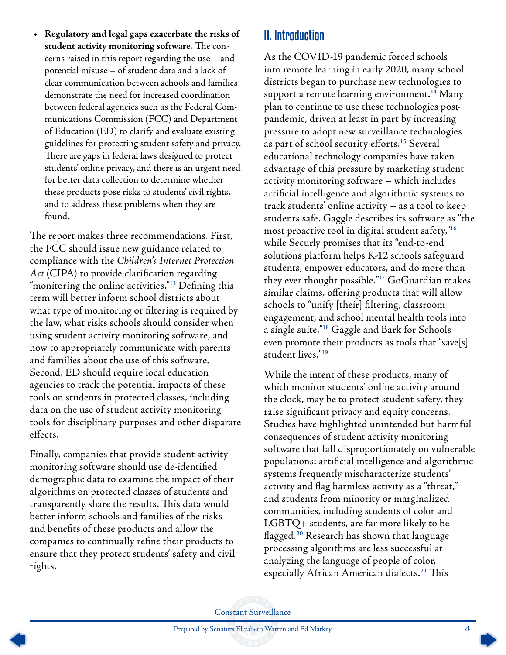<span id="page-3-0"></span>• **Regulatory and legal gaps exacerbate the risks of student activity monitoring software.** The concerns raised in this report regarding the use – and potential misuse – of student data and a lack of clear communication between schools and families demonstrate the need for increased coordination between federal agencies such as the Federal Communications Commission (FCC) and Department of Education (ED) to clarify and evaluate existing guidelines for protecting student safety and privacy. There are gaps in federal laws designed to protect students' online privacy, and there is an urgent need for better data collection to determine whether these products pose risks to students' civil rights, and to address these problems when they are found.

The report makes three recommendations. First, the FCC should issue new guidance related to compliance with the *Children's Internet Protection Act* (CIPA) to provide clarification regarding "monitoring the online activities."**[13](#page-10-0)** Defining this term will better inform school districts about what type of monitoring or filtering is required by the law, what risks schools should consider when using student activity monitoring software, and how to appropriately communicate with parents and families about the use of this software. Second, ED should require local education agencies to track the potential impacts of these tools on students in protected classes, including data on the use of student activity monitoring tools for disciplinary purposes and other disparate effects.

Finally, companies that provide student activity monitoring software should use de-identified demographic data to examine the impact of their algorithms on protected classes of students and transparently share the results. This data would better inform schools and families of the risks and benefits of these products and allow the companies to continually refine their products to ensure that they protect students' safety and civil rights.

## II. Introduction

As the COVID-19 pandemic forced schools into remote learning in early 2020, many school districts began to purchase new technologies to support a remote learning environment.**[14](#page-10-0)** Many plan to continue to use these technologies postpandemic, driven at least in part by increasing pressure to adopt new surveillance technologies as part of school security efforts.**[15](#page-10-0)** Several educational technology companies have taken advantage of this pressure by marketing student activity monitoring software – which includes artificial intelligence and algorithmic systems to track students' online activity – as a tool to keep students safe. Gaggle describes its software as "the most proactive tool in digital student safety,"**[16](#page-10-0)** while Securly promises that its "end-to-end solutions platform helps K-12 schools safeguard students, empower educators, and do more than they ever thought possible."**[17](#page-10-0)** GoGuardian makes similar claims, offering products that will allow schools to "unify [their] filtering, classroom engagement, and school mental health tools into a single suite."**[18](#page-10-0)** Gaggle and Bark for Schools even promote their products as tools that "save[s] student lives."**[19](#page-10-0)**

While the intent of these products, many of which monitor students' online activity around the clock, may be to protect student safety, they raise significant privacy and equity concerns. Studies have highlighted unintended but harmful consequences of student activity monitoring software that fall disproportionately on vulnerable populations: artificial intelligence and algorithmic systems frequently mischaracterize students' activity and flag harmless activity as a "threat," and students from minority or marginalized communities, including students of color and LGBTQ+ students, are far more likely to be flagged.**[20](#page-10-0)** Research has shown that language processing algorithms are less successful at analyzing the language of people of color, especially African American dialects.**[21](#page-10-0)** This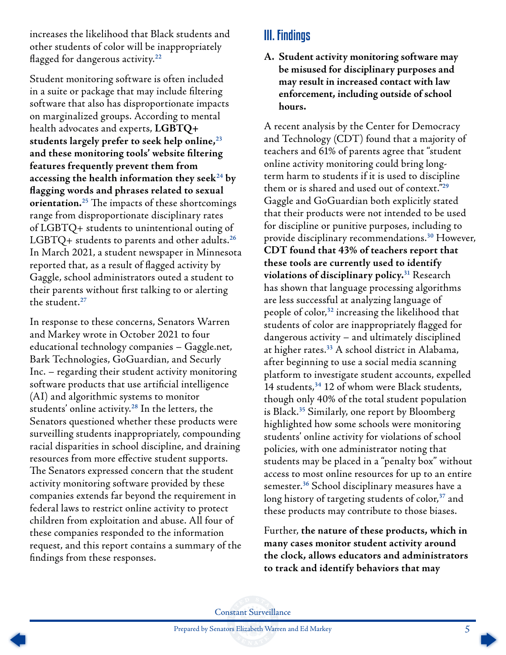<span id="page-4-0"></span>increases the likelihood that Black students and other students of color will be inappropriately flagged for dangerous activity.**[22](#page-10-0)**

Student monitoring software is often included in a suite or package that may include filtering software that also has disproportionate impacts on marginalized groups. According to mental health advocates and experts, **LGBTQ+ students largely prefer to seek help online,[23](#page-10-0) and these monitoring tools' website filtering features frequently prevent them from accessing the health information they seek[24](#page-10-0) by flagging words and phrases related to sexual orientation.[25](#page-10-0)** The impacts of these shortcomings range from disproportionate disciplinary rates of LGBTQ+ students to unintentional outing of LGBTQ+ students to parents and other adults.**[26](#page-11-0)** In March 2021, a student newspaper in Minnesota reported that, as a result of flagged activity by Gaggle, school administrators outed a student to their parents without first talking to or alerting the student.**[27](#page-11-0)**

In response to these concerns, Senators Warren and Markey wrote in October 2021 to four educational technology companies – Gaggle.net, Bark Technologies, GoGuardian, and Securly Inc. – regarding their student activity monitoring software products that use artificial intelligence (AI) and algorithmic systems to monitor students' online activity.**[28](#page-11-0)** In the letters, the Senators questioned whether these products were surveilling students inappropriately, compounding racial disparities in school discipline, and draining resources from more effective student supports. The Senators expressed concern that the student activity monitoring software provided by these companies extends far beyond the requirement in federal laws to restrict online activity to protect children from exploitation and abuse. All four of these companies responded to the information request, and this report contains a summary of the findings from these responses.

## III. Findings

**A. Student activity monitoring software may be misused for disciplinary purposes and may result in increased contact with law enforcement, including outside of school hours.**

A recent analysis by the Center for Democracy and Technology (CDT) found that a majority of teachers and 61% of parents agree that "student online activity monitoring could bring longterm harm to students if it is used to discipline them or is shared and used out of context."**[29](#page-11-0)** Gaggle and GoGuardian both explicitly stated that their products were not intended to be used for discipline or punitive purposes, including to provide disciplinary recommendations.**[30](#page-11-0)** However, **CDT found that 43% of teachers report that these tools are currently used to identify violations of disciplinary policy.[31](#page-11-0)** Research has shown that language processing algorithms are less successful at analyzing language of people of color,**[32](#page-11-0)** increasing the likelihood that students of color are inappropriately flagged for dangerous activity – and ultimately disciplined at higher rates.**[33](#page-11-0)** A school district in Alabama, after beginning to use a social media scanning platform to investigate student accounts, expelled 14 students,**[34](#page-11-0)** 12 of whom were Black students, though only 40% of the total student population is Black.**[35](#page-11-0)** Similarly, one report by Bloomberg highlighted how some schools were monitoring students' online activity for violations of school policies, with one administrator noting that students may be placed in a "penalty box" without access to most online resources for up to an entire semester.**[36](#page-11-0)** School disciplinary measures have a long history of targeting students of color,**[37](#page-11-0)** and these products may contribute to those biases.

Further, **the nature of these products, which in many cases monitor student activity around the clock, allows educators and administrators to track and identify behaviors that may** 

Constant Surveillance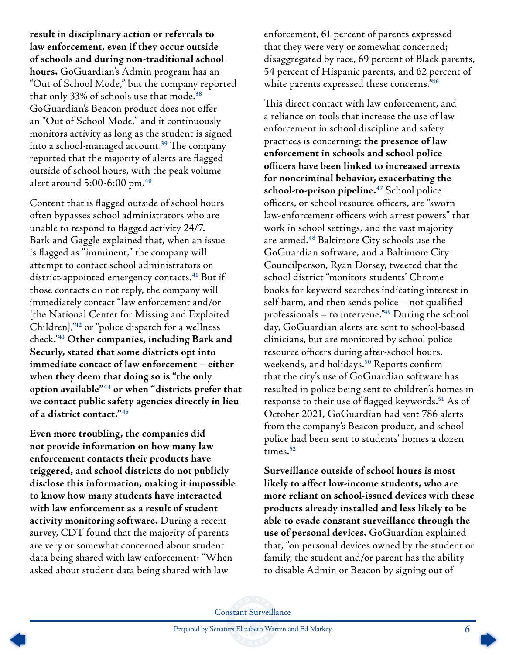<span id="page-5-0"></span>**result in disciplinary action or referrals to law enforcement, even if they occur outside of schools and during non-traditional school hours.** GoGuardian's Admin program has an "Out of School Mode," but the company reported that only 33% of schools use that mode.**[38](#page-11-0)** GoGuardian's Beacon product does not offer an "Out of School Mode," and it continuously monitors activity as long as the student is signed into a school-managed account.**[39](#page-11-0)** The company reported that the majority of alerts are flagged outside of school hours, with the peak volume alert around 5:00-6:00 pm.**[40](#page-11-0)**

Content that is flagged outside of school hours often bypasses school administrators who are unable to respond to flagged activity 24/7. Bark and Gaggle explained that, when an issue is flagged as "imminent," the company will attempt to contact school administrators or district-appointed emergency contacts.**[41](#page-11-0)** But if those contacts do not reply, the company will immediately contact "law enforcement and/or [the National Center for Missing and Exploited Children],"**[42](#page-11-0)** or "police dispatch for a wellness check."**[43](#page-11-0) Other companies, including Bark and Securly, stated that some districts opt into immediate contact of law enforcement – either when they deem that doing so is "the only option available"[44](#page-11-0) or when "districts prefer that we contact public safety agencies directly in lieu of a district contact."[45](#page-11-0)**

**Even more troubling, the companies did not provide information on how many law enforcement contacts their products have triggered, and school districts do not publicly disclose this information, making it impossible to know how many students have interacted with law enforcement as a result of student activity monitoring software.** During a recent survey, CDT found that the majority of parents are very or somewhat concerned about student data being shared with law enforcement: "When asked about student data being shared with law

enforcement, 61 percent of parents expressed that they were very or somewhat concerned; disaggregated by race, 69 percent of Black parents, 54 percent of Hispanic parents, and 62 percent of white parents expressed these concerns."**[46](#page-11-0)**

This direct contact with law enforcement, and a reliance on tools that increase the use of law enforcement in school discipline and safety practices is concerning: **the presence of law enforcement in schools and school police officers have been linked to increased arrests for noncriminal behavior, exacerbating the school-to-prison pipeline.[47](#page-11-0)** School police officers, or school resource officers, are "sworn law-enforcement officers with arrest powers" that work in school settings, and the vast majority are armed.**[48](#page-11-0)** Baltimore City schools use the GoGuardian software, and a Baltimore City Councilperson, Ryan Dorsey, tweeted that the school district "monitors students' Chrome books for keyword searches indicating interest in self-harm, and then sends police – not qualified professionals – to intervene."**[49](#page-11-0)** During the school day, GoGuardian alerts are sent to school-based clinicians, but are monitored by school police resource officers during after-school hours, weekends, and holidays.**[50](#page-11-0)** Reports confirm that the city's use of GoGuardian software has resulted in police being sent to children's homes in response to their use of flagged keywords.**[51](#page-11-0)** As of October 2021, GoGuardian had sent 786 alerts from the company's Beacon product, and school police had been sent to students' homes a dozen times.**[52](#page-11-0)**

**Surveillance outside of school hours is most likely to affect low-income students, who are more reliant on school-issued devices with these products already installed and less likely to be able to evade constant surveillance through the use of personal devices.** GoGuardian explained that, "on personal devices owned by the student or family, the student and/or parent has the ability to disable Admin or Beacon by signing out of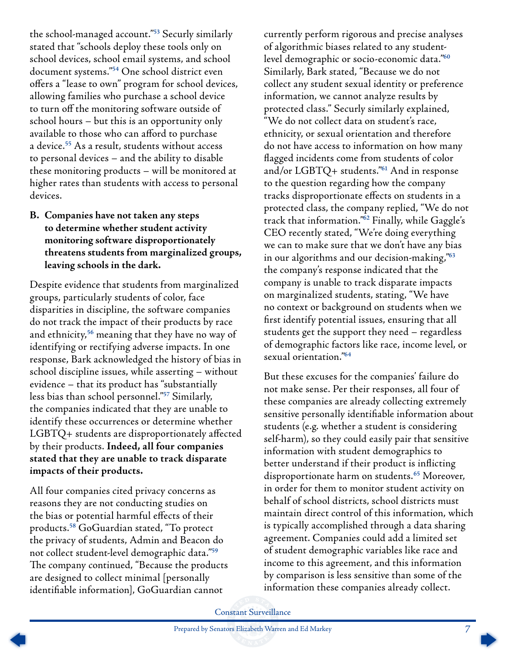<span id="page-6-0"></span>the school-managed account."**[53](#page-11-0)** Securly similarly stated that "schools deploy these tools only on school devices, school email systems, and school document systems."**[54](#page-11-0)** One school district even offers a "lease to own" program for school devices, allowing families who purchase a school device to turn off the monitoring software outside of school hours – but this is an opportunity only available to those who can afford to purchase a device.**[55](#page-11-0)** As a result, students without access to personal devices – and the ability to disable these monitoring products – will be monitored at higher rates than students with access to personal devices.

#### **B. Companies have not taken any steps to determine whether student activity monitoring software disproportionately threatens students from marginalized groups, leaving schools in the dark.**

Despite evidence that students from marginalized groups, particularly students of color, face disparities in discipline, the software companies do not track the impact of their products by race and ethnicity,**[56](#page-12-0)** meaning that they have no way of identifying or rectifying adverse impacts. In one response, Bark acknowledged the history of bias in school discipline issues, while asserting – without evidence – that its product has "substantially less bias than school personnel."**[57](#page-12-0)** Similarly, the companies indicated that they are unable to identify these occurrences or determine whether LGBTQ+ students are disproportionately affected by their products. **Indeed, all four companies stated that they are unable to track disparate impacts of their products.**

All four companies cited privacy concerns as reasons they are not conducting studies on the bias or potential harmful effects of their products.**[58](#page-12-0)** GoGuardian stated, "To protect the privacy of students, Admin and Beacon do not collect student-level demographic data."**[59](#page-12-0)** The company continued, "Because the products are designed to collect minimal [personally identifiable information], GoGuardian cannot

currently perform rigorous and precise analyses of algorithmic biases related to any studentlevel demographic or socio-economic data."**[60](#page-12-0)** Similarly, Bark stated, "Because we do not collect any student sexual identity or preference information, we cannot analyze results by protected class." Securly similarly explained, "We do not collect data on student's race, ethnicity, or sexual orientation and therefore do not have access to information on how many flagged incidents come from students of color and/or LGBTQ+ students."**[61](#page-12-0)** And in response to the question regarding how the company tracks disproportionate effects on students in a protected class, the company replied, "We do not track that information."**[62](#page-12-0)** Finally, while Gaggle's CEO recently stated, "We're doing everything we can to make sure that we don't have any bias in our algorithms and our decision-making,"**[63](#page-12-0)** the company's response indicated that the company is unable to track disparate impacts on marginalized students, stating, "We have no context or background on students when we first identify potential issues, ensuring that all students get the support they need – regardless of demographic factors like race, income level, or sexual orientation."**[64](#page-12-0)**

But these excuses for the companies' failure do not make sense. Per their responses, all four of these companies are already collecting extremely sensitive personally identifiable information about students (e.g. whether a student is considering self-harm), so they could easily pair that sensitive information with student demographics to better understand if their product is inflicting disproportionate harm on students.**[65](#page-12-0)** Moreover, in order for them to monitor student activity on behalf of school districts, school districts must maintain direct control of this information, which is typically accomplished through a data sharing agreement. Companies could add a limited set of student demographic variables like race and income to this agreement, and this information by comparison is less sensitive than some of the information these companies already collect.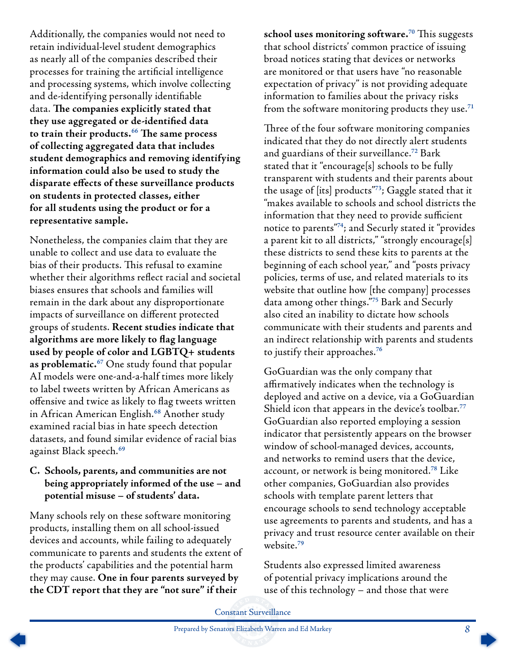<span id="page-7-0"></span>Additionally, the companies would not need to retain individual-level student demographics as nearly all of the companies described their processes for training the artificial intelligence and processing systems, which involve collecting and de-identifying personally identifiable data. **The companies explicitly stated that they use aggregated or de-identified data to train their products.[66](#page-12-0) The same process of collecting aggregated data that includes student demographics and removing identifying information could also be used to study the disparate effects of these surveillance products on students in protected classes, either for all students using the product or for a representative sample.**

Nonetheless, the companies claim that they are unable to collect and use data to evaluate the bias of their products. This refusal to examine whether their algorithms reflect racial and societal biases ensures that schools and families will remain in the dark about any disproportionate impacts of surveillance on different protected groups of students. **Recent studies indicate that algorithms are more likely to flag language used by people of color and LGBTQ+ students as problematic.[67](#page-12-0)** One study found that popular AI models were one-and-a-half times more likely to label tweets written by African Americans as offensive and twice as likely to flag tweets written in African American English.**[68](#page-12-0)** Another study examined racial bias in hate speech detection datasets, and found similar evidence of racial bias against Black speech.**[69](#page-12-0)**

#### **C. Schools, parents, and communities are not being appropriately informed of the use – and potential misuse – of students' data.**

Many schools rely on these software monitoring products, installing them on all school-issued devices and accounts, while failing to adequately communicate to parents and students the extent of the products' capabilities and the potential harm they may cause. **One in four parents surveyed by the CDT report that they are "not sure" if their** 

**school uses monitoring software.[70](#page-12-0)** This suggests that school districts' common practice of issuing broad notices stating that devices or networks are monitored or that users have "no reasonable expectation of privacy" is not providing adequate information to families about the privacy risks from the software monitoring products they use.**[71](#page-12-0)**

Three of the four software monitoring companies indicated that they do not directly alert students and guardians of their surveillance.**[72](#page-12-0)** Bark stated that it "encourage[s] schools to be fully transparent with students and their parents about the usage of [its] products"**[73](#page-12-0)**; Gaggle stated that it "makes available to schools and school districts the information that they need to provide sufficient notice to parents"**[74](#page-12-0)**; and Securly stated it "provides a parent kit to all districts," "strongly encourage[s] these districts to send these kits to parents at the beginning of each school year," and "posts privacy policies, terms of use, and related materials to its website that outline how [the company] processes data among other things."**[75](#page-12-0)** Bark and Securly also cited an inability to dictate how schools communicate with their students and parents and an indirect relationship with parents and students to justify their approaches.**[76](#page-12-0)**

GoGuardian was the only company that affirmatively indicates when the technology is deployed and active on a device, via a GoGuardian Shield icon that appears in the device's toolbar.**[77](#page-12-0)** GoGuardian also reported employing a session indicator that persistently appears on the browser window of school-managed devices, accounts, and networks to remind users that the device, account, or network is being monitored.**[78](#page-12-0)** Like other companies, GoGuardian also provides schools with template parent letters that encourage schools to send technology acceptable use agreements to parents and students, and has a privacy and trust resource center available on their website.**[79](#page-12-0)**

Students also expressed limited awareness of potential privacy implications around the use of this technology – and those that were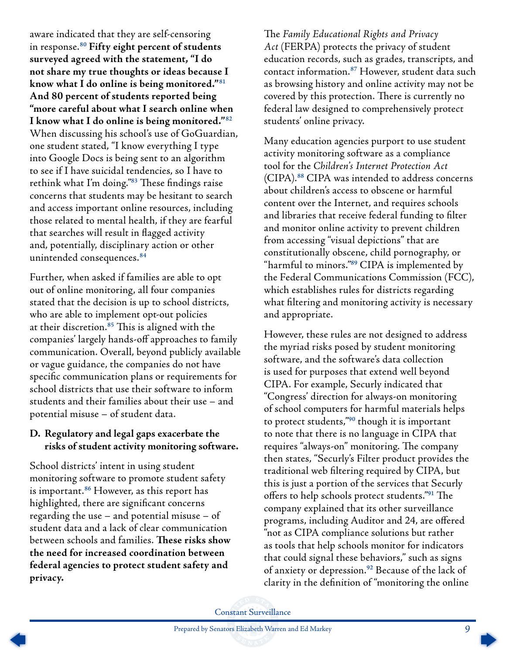<span id="page-8-0"></span>aware indicated that they are self-censoring in response.**[80](#page-12-0) Fifty eight percent of students surveyed agreed with the statement, "I do not share my true thoughts or ideas because I know what I do online is being monitored."[81](#page-12-0) And 80 percent of students reported being "more careful about what I search online when I know what I do online is being monitored."[82](#page-12-0)** When discussing his school's use of GoGuardian, one student stated, "I know everything I type into Google Docs is being sent to an algorithm to see if I have suicidal tendencies, so I have to rethink what I'm doing."**[83](#page-12-0)** These findings raise concerns that students may be hesitant to search and access important online resources, including those related to mental health, if they are fearful that searches will result in flagged activity and, potentially, disciplinary action or other unintended consequences.**[84](#page-13-0)**

Further, when asked if families are able to opt out of online monitoring, all four companies stated that the decision is up to school districts, who are able to implement opt-out policies at their discretion.**[85](#page-13-0)** This is aligned with the companies' largely hands-off approaches to family communication. Overall, beyond publicly available or vague guidance, the companies do not have specific communication plans or requirements for school districts that use their software to inform students and their families about their use – and potential misuse – of student data.

#### **D. Regulatory and legal gaps exacerbate the risks of student activity monitoring software.**

School districts' intent in using student monitoring software to promote student safety is important.**[86](#page-13-0)** However, as this report has highlighted, there are significant concerns regarding the use – and potential misuse – of student data and a lack of clear communication between schools and families. **These risks show the need for increased coordination between federal agencies to protect student safety and privacy.**

The *Family Educational Rights and Privacy Act* (FERPA) protects the privacy of student education records, such as grades, transcripts, and contact information.**[87](#page-13-0)** However, student data such as browsing history and online activity may not be covered by this protection. There is currently no federal law designed to comprehensively protect students' online privacy.

Many education agencies purport to use student activity monitoring software as a compliance tool for the *Children's Internet Protection Act* (CIPA).**[88](#page-13-0)** CIPA was intended to address concerns about children's access to obscene or harmful content over the Internet, and requires schools and libraries that receive federal funding to filter and monitor online activity to prevent children from accessing "visual depictions" that are constitutionally obscene, child pornography, or "harmful to minors."**[89](#page-13-0)** CIPA is implemented by the Federal Communications Commission (FCC), which establishes rules for districts regarding what filtering and monitoring activity is necessary and appropriate.

However, these rules are not designed to address the myriad risks posed by student monitoring software, and the software's data collection is used for purposes that extend well beyond CIPA. For example, Securly indicated that "Congress' direction for always-on monitoring of school computers for harmful materials helps to protect students,"**[90](#page-13-0)** though it is important to note that there is no language in CIPA that requires "always-on" monitoring. The company then states, "Securly's Filter product provides the traditional web filtering required by CIPA, but this is just a portion of the services that Securly offers to help schools protect students."**[91](#page-13-0)** The company explained that its other surveillance programs, including Auditor and 24, are offered "not as CIPA compliance solutions but rather as tools that help schools monitor for indicators that could signal these behaviors," such as signs of anxiety or depression.**[92](#page-13-0)** Because of the lack of clarity in the definition of "monitoring the online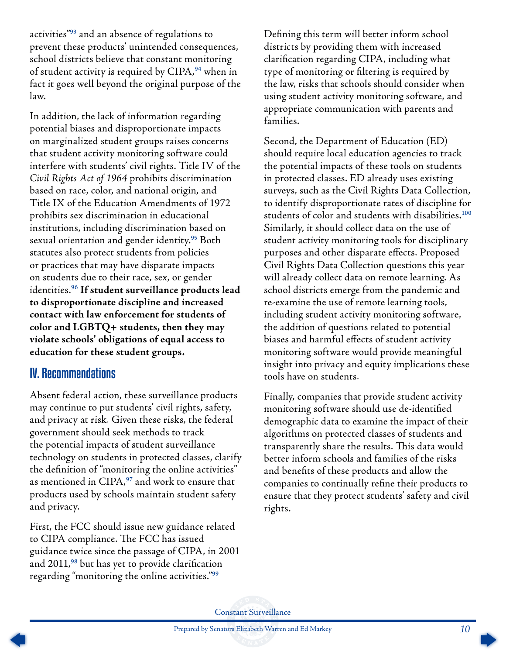<span id="page-9-0"></span>activities"**[93](#page-13-0)** and an absence of regulations to prevent these products' unintended consequences, school districts believe that constant monitoring of student activity is required by CIPA,**[94](#page-13-0)** when in fact it goes well beyond the original purpose of the law.

In addition, the lack of information regarding potential biases and disproportionate impacts on marginalized student groups raises concerns that student activity monitoring software could interfere with students' civil rights. Title IV of the *Civil Rights Act of 1964* prohibits discrimination based on race, color, and national origin, and Title IX of the Education Amendments of 1972 prohibits sex discrimination in educational institutions, including discrimination based on sexual orientation and gender identity.**[95](#page-13-0)** Both statutes also protect students from policies or practices that may have disparate impacts on students due to their race, sex, or gender identities.**[96](#page-13-0) If student surveillance products lead to disproportionate discipline and increased contact with law enforcement for students of color and LGBTQ+ students, then they may violate schools' obligations of equal access to education for these student groups.**

### IV. Recommendations

Absent federal action, these surveillance products may continue to put students' civil rights, safety, and privacy at risk. Given these risks, the federal government should seek methods to track the potential impacts of student surveillance technology on students in protected classes, clarify the definition of "monitoring the online activities" as mentioned in CIPA,**[97](#page-13-0)** and work to ensure that products used by schools maintain student safety and privacy.

First, the FCC should issue new guidance related to CIPA compliance. The FCC has issued guidance twice since the passage of CIPA, in 2001 and 2011,**[98](#page-13-0)** but has yet to provide clarification regarding "monitoring the online activities."**[99](#page-13-0)**

Defining this term will better inform school districts by providing them with increased clarification regarding CIPA, including what type of monitoring or filtering is required by the law, risks that schools should consider when using student activity monitoring software, and appropriate communication with parents and families.

Second, the Department of Education (ED) should require local education agencies to track the potential impacts of these tools on students in protected classes. ED already uses existing surveys, such as the Civil Rights Data Collection, to identify disproportionate rates of discipline for students of color and students with disabilities.**[100](#page-13-0)** Similarly, it should collect data on the use of student activity monitoring tools for disciplinary purposes and other disparate effects. Proposed Civil Rights Data Collection questions this year will already collect data on remote learning. As school districts emerge from the pandemic and re-examine the use of remote learning tools, including student activity monitoring software, the addition of questions related to potential biases and harmful effects of student activity monitoring software would provide meaningful insight into privacy and equity implications these tools have on students.

Finally, companies that provide student activity monitoring software should use de-identified demographic data to examine the impact of their algorithms on protected classes of students and transparently share the results. This data would better inform schools and families of the risks and benefits of these products and allow the companies to continually refine their products to ensure that they protect students' safety and civil rights.

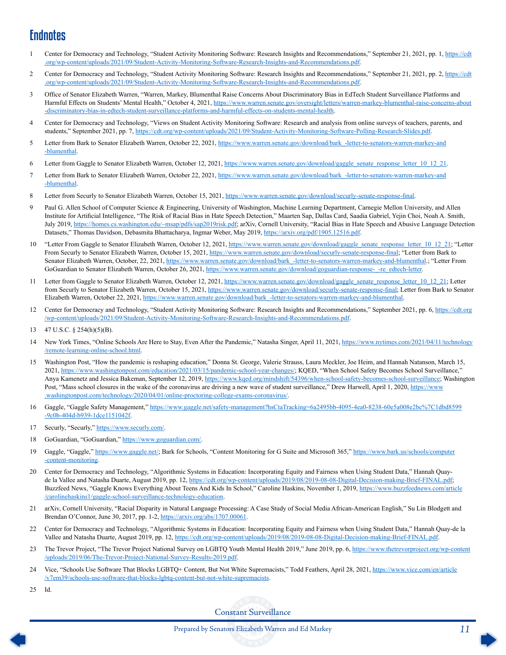## <span id="page-10-0"></span>**Endnotes**

- [1](#page-2-0) Center for Democracy and Technology, "Student Activity Monitoring Software: Research Insights and Recommendations," September 21, 2021, pp. 1, [https://cdt](https://cdt.org/wp-content/uploads/2021/09/Student-Activity-Monitoring-Software-Research-Insights-and-Recommendations.pdf) [.org/wp-content/uploads/2021/09/Student-Activity-Monitoring-Software-Research-Insights-and-Recommendations.pdf.](https://cdt.org/wp-content/uploads/2021/09/Student-Activity-Monitoring-Software-Research-Insights-and-Recommendations.pdf)
- [2](#page-2-0) Center for Democracy and Technology, "Student Activity Monitoring Software: Research Insights and Recommendations," September 21, 2021, pp. 2, [https://cdt](https://cdt.org/wp-content/uploads/2021/09/Student-Activity-Monitoring-Software-Research-Insights-and-Recommendations.pdf) [.org/wp-content/uploads/2021/09/Student-Activity-Monitoring-Software-Research-Insights-and-Recommendations.pdf.](https://cdt.org/wp-content/uploads/2021/09/Student-Activity-Monitoring-Software-Research-Insights-and-Recommendations.pdf)
- [3](#page-2-0) Office of Senator Elizabeth Warren, "Warren, Markey, Blumenthal Raise Concerns About Discriminatory Bias in EdTech Student Surveillance Platforms and Harmful Effects on Students' Mental Health," October 4, 2021, [https://www.warren.senate.gov/oversight/letters/warren-](https://www.warren.senate.gov/oversight/letters/warren-markey-blumenthal-raise-concerns-about-discriminatory-bias-in-edtech-student-surveillance-platforms-and-harmful-effects-on-students-mental-health)markey-blumenthal-raise-concerns-about [-discriminatory-bias-in-edtech-student-surveillance-platforms-and-harmful-effects-on-students-mental-health.](https://www.warren.senate.gov/oversight/letters/warren-markey-blumenthal-raise-concerns-about-discriminatory-bias-in-edtech-student-surveillance-platforms-and-harmful-effects-on-students-mental-health)
- [4](#page-2-0) Center for Democracy and Technology, "Views on Student Activity Monitoring Software: Research and analysis from online surveys of teachers, parents, and students," September 2021, pp. 7, [https://cdt.org/wp-content/uploads/2021/09/Student-Activity-Monitoring-Software-](https://cdt.org/wp-content/uploads/2021/09/Student-Activity-Monitoring-Software-Polling-Research-Slides.pdf)Polling-Research-Slides.pdf.
- [5](#page-2-0) Letter from Bark to Senator Elizabeth Warren, October 22, 2021, [https://www.warren.senate.gov/download/](https://www.warren.senate.gov/download/bark_-letter-to-senators-warren-markey-and-blumenthal)bark -letter-to-senators-warren-markey-and [-blumenthal.](https://www.warren.senate.gov/download/bark_-letter-to-senators-warren-markey-and-blumenthal)
- [6](#page-2-0) Letter from Gaggle to Senator Elizabeth Warren, October 12, 2021, https://www.warren.senate.gov/download/gaggle\_senate\_response\_letter\_10\_12\_21.
- [7](#page-2-0) Letter from Bark to Senator Elizabeth Warren, October 22, 2021, [https://www.warren.senate.gov/download/](https://www.warren.senate.gov/download/bark_-letter-to-senators-warren-markey-and-blumenthal)bark -letter-to-senators-warren-markey-and [-blumenthal.](https://www.warren.senate.gov/download/bark_-letter-to-senators-warren-markey-and-blumenthal)
- [8](#page-2-0) Letter from Securly to Senator Elizabeth Warren, October 15, 2021, [https://www.warren.senate.gov/download/securly-senate-response-](https://www.warren.senate.gov/download/securly-senate-response-final)final.
- [9](#page-2-0) Paul G. Allen School of Computer Science & Engineering, University of Washington, Machine Learning Department, Carnegie Mellon University, and Allen Institute for Artificial Intelligence, "The Risk of Racial Bias in Hate Speech Detection," Maarten Sap, Dallas Card, Saadia Gabriel, Yejin Choi, Noah A. Smith, July 2019, [https://homes.cs.washington.edu/~msap/pdfs/](https://homes.cs.washington.edu/~msap/pdfs/sap2019risk.pdf)sap2019risk.pdf; arXiv, Cornell University, "Racial Bias in Hate Speech and Abusive Language Detection Datasets," Thomas Davidson, Debasmita Bhattacharya, Ingmar Weber, May 2019, [https://arxiv.org/pdf/1905.12516.pdf.](https://arxiv.org/pdf/1905.12516.pdf)
- [10](#page-2-0) "Letter From Gaggle to Senator Elizabeth Warren, October 12, 2021, [https://www.warren.senate.gov/download/gaggle\\_senate\\_response\\_letter\\_10\\_12\\_21;](https://www.warren.senate.gov/download/gaggle_senate_response_letter_10_12_21) "Letter From Securly to Senator Elizabeth Warren, October 15, 2021, [https://www.warren.senate.gov/download/securly-senate-response-](https://www.warren.senate.gov/download/securly-senate-response-final)final; "Letter from Bark to Senator Elizabeth Warren, October, 22, 2021, [https://www.warren.senate.gov/download/](https://www.warren.senate.gov/download/bark_-letter-to-senators-warren-markey-and-blumenthal)bark\_-letter-to-senators-warren-markey-and-blumenthal.; "Letter From GoGuardian to Senator Elizabeth Warren, October 26, 2021, [https://www.warren.senate.gov/download/goguardian-response-\\_-re\\_edtech-letter](https://www.warren.senate.gov/download/goguardian-response-_-re_edtech-letter).
- [11](#page-2-0) Letter from Gaggle to Senator Elizabeth Warren, October 12, 2021, [https://www.warren.senate.gov/download/gaggle\\_senate\\_response\\_letter\\_10\\_12\\_21;](https://www.warren.senate.gov/download/gaggle_senate_response_letter_10_12_21) Letter from Securly to Senator Elizabeth Warren, October 15, 2021, [https://www.warren.senate.gov/download/securly-senate-response-](https://www.warren.senate.gov/download/securly-senate-response-final)final; Letter from Bark to Senator Elizabeth Warren, October 22, 2021, [https://www.warren.senate.gov/download/](https://www.warren.senate.gov/download/bark_-letter-to-senators-warren-markey-and-blumenthal)bark\_-letter-to-senators-warren-markey-and-blumenthal.
- [12](#page-2-0) Center for Democracy and Technology, "Student Activity Monitoring Software: Research Insights and Recommendations," September 2021, pp. 6, [https://cdt.org](https://cdt.org/wp-content/uploads/2021/09/Student-Activity-Monitoring-Software-Research-Insights-and-Recommendations.pdf) [/wp-content/uploads/2021/09/Student-Activity-Monitoring-Software-Research-Insights-and-Recommendations.pdf](https://cdt.org/wp-content/uploads/2021/09/Student-Activity-Monitoring-Software-Research-Insights-and-Recommendations.pdf).
- [13](#page-3-0) 47 U.S.C. § 254(h)(5)(B).
- [14](#page-3-0) New York Times, "Online Schools Are Here to Stay, Even After the Pandemic," Natasha Singer, April 11, 2021, [https://www.nytimes.com/2021/](https://www.nytimes.com/2021/04/11/technology/remote-learning-online-school.html)04/11/technology [/remote-learning-online-school.html](https://www.nytimes.com/2021/04/11/technology/remote-learning-online-school.html).
- [15](#page-3-0) Washington Post, "How the pandemic is reshaping education," Donna St. George, Valerie Strauss, Laura Meckler, Joe Heim, and Hannah Natanson, March 15, 2021, <https://www.washingtonpost.com/education/2021/03/15/pandemic-school-year-changes/>; KQED, "When School Safety Becomes School Surveillance," Anya Kamenetz and Jessica Bakeman, September 12, 2019, https://www.kqed.org/mindshift/54396[/when-school-safety-becomes-school-surveillance](https://www.kqed.org/mindshift/54396/when-school-safety-becomes-school-surveillance); Washington Post, "Mass school closures in the wake of the coronavirus are driving a new wave of student surveillance," Drew Harwell, April 1, 2020, [https://www](https://www.washingtonpost.com/technology/2020/04/01/online-proctoring-college-exams-coronavirus/). .washingtonpost.com/technology/2020/04[/01/online-proctoring-college-exams-coronavirus/](https://www.washingtonpost.com/technology/2020/04/01/online-proctoring-college-exams-coronavirus/).
- [16](#page-3-0) Gaggle, "Gaggle Safety Management," [https://www.gaggle.net/safety-management?](https://www.gaggle.net/safety-management?hsCtaTracking=6a2495bb-4095-4ea0-8238-60e5a008e2bc%7C1dbd8599-9c0b-404d-b939-1dce1151042f)hsCtaTracking=6a2495bb-4095-4ea0-8238-60e5a008e2bc%7C1dbd8599 -9c0b-404d-b939-[1dce1151042f](https://www.gaggle.net/safety-management?hsCtaTracking=6a2495bb-4095-4ea0-8238-60e5a008e2bc%7C1dbd8599-9c0b-404d-b939-1dce1151042f).
- [17](#page-3-0) Securly, "Securly," [https://www.securly.com/.](https://www.securly.com/)
- [18](#page-3-0) GoGuardian, "GoGuardian,"<https://www.goguardian.com/>.
- [19](#page-3-0) Gaggle, "Gaggle,"<https://www.gaggle.net/>; Bark for Schools, "Content Monitoring for G Suite and Microsoft 365," https://www.bark[.us/schools/computer](https://www.bark.us/schools/computer-content-monitoring) [-content-monitoring](https://www.bark.us/schools/computer-content-monitoring).
- [20](#page-3-0) Center for Democracy and Technology, "Algorithmic Systems in Education: Incorporating Equity and Fairness when Using Student Data," Hannah Quayde la Vallee and Natasha Duarte, August 2019, pp. 12, [https://cdt.org/wp-content/uploads/2019/08/2019-08-08-Digital-Decision-](https://cdt.org/wp-content/uploads/2019/08/2019-08-08-Digital-Decision-making-Brief-FINAL.pdf)making-Brief-FINAL.pdf; Buzzfeed News, "Gaggle Knows Everything About Teens And Kids In School," Caroline Haskins, November 1, 2019, https://www.[buzzfeednews](https://www.buzzfeednews.com/article/carolinehaskins1/gaggle-school-surveillance-technology-education).com/article /carolinehaskins1[/gaggle-school-surveillance-technology-education](https://www.buzzfeednews.com/article/carolinehaskins1/gaggle-school-surveillance-technology-education).
- [21](#page-3-0) arXiv, Cornell University, "Racial Disparity in Natural Language Processing: A Case Study of Social Media African-American English," Su Lin Blodgett and Brendan O'Connor, June 30, 2017, pp. 1-2, <https://arxiv.org/abs/1707.00061>.
- [22](#page-4-0) Center for Democracy and Technology, "Algorithmic Systems in Education: Incorporating Equity and Fairness when Using Student Data," Hannah Quay-de la Vallee and Natasha Duarte, August 2019, pp. 12, [https://cdt.org/wp-content/uploads/2019/08/2019-08-08-Digital-Decision-](https://cdt.org/wp-content/uploads/2019/08/2019-08-08-Digital-Decision-making-Brief-FINAL.pdf)making-Brief-FINAL.pdf.
- [23](#page-4-0) The Trevor Project, "The Trevor Project National Survey on LGBTQ Youth Mental Health 2019," June 2019, pp. 6, https://www.[thetrevorproject](https://www.thetrevorproject.org/wp-content/uploads/2019/06/The-Trevor-Project-National-Survey-Results-2019.pdf).org/wp-content [/uploads/2019/06/The-Trevor-](https://www.thetrevorproject.org/wp-content/uploads/2019/06/The-Trevor-Project-National-Survey-Results-2019.pdf)Project-National-Survey-Results-2019.pdf.
- [24](#page-4-0) Vice, "Schools Use Software That Blocks LGBTQ+ Content, But Not White Supremacists," Todd Feathers, April 28, 2021, [https://www.vice.com/en/article](https://www.vice.com/en/article/v7em39/schools-use-software-that-blocks-lgbtq-content-but-not-white-supremacists) /v7em39/schools-use-software-that-blocks-lgbtq[-content-but-not-white-supremacists](https://www.vice.com/en/article/v7em39/schools-use-software-that-blocks-lgbtq-content-but-not-white-supremacists).
- [25](#page-4-0) Id.

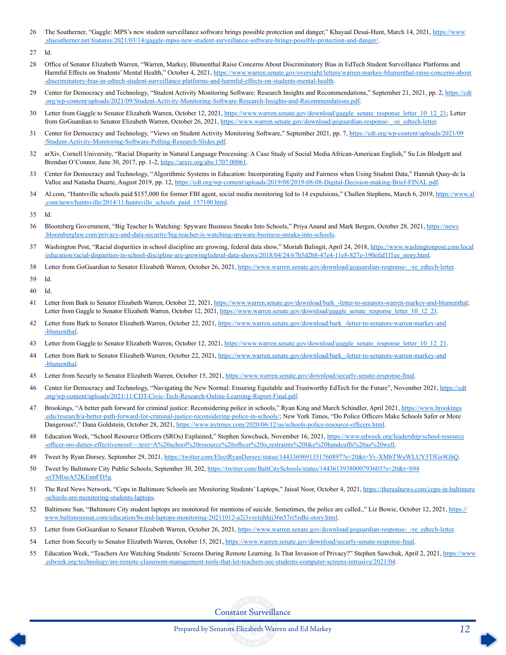- <span id="page-11-0"></span>[26](#page-4-0) The Southerner, "Gaggle: MPS's new student surveillance software brings possible protection and danger," Khayaal Desai-Hunt, March 14, 2021, [https://www](https://www.shsoutherner.net/features/2021/03/14/gaggle-mpss-new-student-surveillance-software-brings-possible-protection-and-danger/). .shsoutherner.net/features/2021/03/14[/gaggle-mpss-new-student-surveillance-software-brings-possible-protection-and-danger/.](https://www.shsoutherner.net/features/2021/03/14/gaggle-mpss-new-student-surveillance-software-brings-possible-protection-and-danger/)
- [27](#page-4-0)
- [28](#page-4-0) Office of Senator Elizabeth Warren, "Warren, Markey, Blumenthal Raise Concerns About Discriminatory Bias in EdTech Student Surveillance Platforms and Harmful Effects on Students' Mental Health," October 4, 2021, [https://www.warren.senate.gov/oversight/letters/warren-](https://www.warren.senate.gov/oversight/letters/warren-markey-blumenthal-raise-concerns-about-discriminatory-bias-in-edtech-student-surveillance-platforms-and-harmful-effects-on-students-mental-health)markey-blumenthal-raise-concerns-about [-discriminatory-bias-in-edtech-student-surveillance-platforms-and-harmful-effects-on-students-mental-health.](https://www.warren.senate.gov/oversight/letters/warren-markey-blumenthal-raise-concerns-about-discriminatory-bias-in-edtech-student-surveillance-platforms-and-harmful-effects-on-students-mental-health)
- [29](#page-4-0) Center for Democracy and Technology, "Student Activity Monitoring Software: Research Insights and Recommendations," September 21, 2021, pp. 2, [https://cdt](https://cdt.org/wp-content/uploads/2021/09/Student-Activity-Monitoring-Software-Research-Insights-and-Recommendations.pdf) [.org/wp-content/uploads/2021/09/Student-Activity-Monitoring-Software-Research-Insights-and-Recommendations.pdf.](https://cdt.org/wp-content/uploads/2021/09/Student-Activity-Monitoring-Software-Research-Insights-and-Recommendations.pdf)
- [30](#page-4-0) Letter from Gaggle to Senator Elizabeth Warren, October 12, 2021, [https://www.warren.senate.gov/download/gaggle\\_senate\\_response\\_letter\\_10\\_12\\_21;](https://www.warren.senate.gov/download/gaggle_senate_response_letter_10_12_21) Letter from GoGuardian to Senator Elizabeth Warren, October 26, 2021, https://www.warren.senate.gov/download/goguardian-response--re\_edtech-letter.
- [31](#page-4-0) Center for Democracy and Technology, "Views on Student Activity Monitoring Software," September 2021, pp. 7, [https://cdt.org/wp-content/uploads/2021/09](https://cdt.org/wp-content/uploads/2021/09/Student-Activity-Monitoring-Software-Polling-Research-Slides.pdf) [/Student-Activity-Monitoring-Software-](https://cdt.org/wp-content/uploads/2021/09/Student-Activity-Monitoring-Software-Polling-Research-Slides.pdf)Polling-Research-Slides.pdf.
- [32](#page-4-0) arXiv, Cornell University, "Racial Disparity in Natural Language Processing: A Case Study of Social Media African-American English," Su Lin Blodgett and Brendan O'Connor, June 30, 2017, pp. 1-2, <https://arxiv.org/abs/1707.00061>.
- [33](#page-4-0) Center for Democracy and Technology, "Algorithmic Systems in Education: Incorporating Equity and Fairness when Using Student Data," Hannah Quay-de la Vallee and Natasha Duarte, August 2019, pp. 12, [https://cdt.org/wp-content/uploads/2019/08/2019-08-08-Digital-Decision-](https://cdt.org/wp-content/uploads/2019/08/2019-08-08-Digital-Decision-making-Brief-FINAL.pdf)making-Brief-FINAL.pdf.
- [34](#page-4-0) Al.com, "Huntsville schools paid \$157,000 for former FBI agent, social media monitoring led to 14 expulsions," Challen Stephens, March 6, 2019, [https://www.al](https://www.al.com/news/huntsville/2014/11/huntsville_schools_paid_157100.html) .com/news/huntsville/2014[/11/huntsville\\_schools\\_paid\\_157100.html.](https://www.al.com/news/huntsville/2014/11/huntsville_schools_paid_157100.html)
- [35](#page-4-0) Id.
- [36](#page-4-0) Bloomberg Government, "Big Teacher Is Watching: Spyware Business Sneaks Into Schools," Priya Anand and Mark Bergen, October 28, 2021, [https://news](https://news.bloomberglaw.com/privacy-and-data-security/big-teacher-is-watching-spyware-business-sneaks-into-schools) [.bloomberglaw.com/privacy-and-data-security/big-teacher-is-watching-spyware-business-](https://news.bloomberglaw.com/privacy-and-data-security/big-teacher-is-watching-spyware-business-sneaks-into-schools)sneaks-into-schools.
- [37](#page-4-0) Washington Post, "Racial disparities in school discipline are growing, federal data show," Moriah Balingit, April 24, 2018, [https://www.washingtonpost.com/local](https://www.washingtonpost.com/local/education/racial-disparities-in-school-discipline-are-growing-federal-data-shows/2018/04/24/67b5d2b8-47e4-11e8-827e-190efaf1f1ee_story.html) [/education/racial-disparities-in-school-discipline-are-growingfederal-data-shows/2018/](https://www.washingtonpost.com/local/education/racial-disparities-in-school-discipline-are-growing-federal-data-shows/2018/04/24/67b5d2b8-47e4-11e8-827e-190efaf1f1ee_story.html)04/24/67b5d2b8-47e4-11e8-827e-190efaf1f1ee\_story.html.
- [38](#page-5-0) Letter from GoGuardian to Senator Elizabeth Warren, October 26, 2021, https://www.warren.senate.gov/download/goguardian-response--re\_edtech-letter.
- [39](#page-5-0) Id.
- [40](#page-5-0) Id.
- [41](#page-5-0) Letter from Bark to Senator Elizabeth Warren, October 22, 2021, [https://www.warren.senate.gov/download/](https://www.warren.senate.gov/download/bark_-letter-to-senators-warren-markey-and-blumenthal)bark -letter-to-senators-warren-markey-and-blumenthal; Letter from Gaggle to Senator Elizabeth Warren, October 12, 2021, https://www.warren.senate.gov/download/gaggle\_senate\_response\_letter\_10\_12\_21.
- [42](#page-5-0) Letter from Bark to Senator Elizabeth Warren, October 22, 2021, [https://www.warren.senate.gov/download/](https://www.warren.senate.gov/download/bark_-letter-to-senators-warren-markey-and-blumenthal)bark\_-letter-to-senators-warren-markey-and [-blumenthal.](https://www.warren.senate.gov/download/bark_-letter-to-senators-warren-markey-and-blumenthal)
- [43](#page-5-0) Letter from Gaggle to Senator Elizabeth Warren, October 12, 2021, https://www.warren.senate.gov/download/gaggle\_senate\_response\_letter\_10\_12\_21.
- [44](#page-5-0) Letter from Bark to Senator Elizabeth Warren, October 22, 2021, [https://www.warren.senate.gov/download/](https://www.warren.senate.gov/download/bark_-letter-to-senators-warren-markey-and-blumenthal)bark\_-letter-to-senators-warren-markey-and [-blumenthal.](https://www.warren.senate.gov/download/bark_-letter-to-senators-warren-markey-and-blumenthal)
- [45](#page-5-0) Letter from Securly to Senator Elizabeth Warren, October 15, 2021, [https://www.warren.senate.gov/download/securly-senate-response-](https://www.warren.senate.gov/download/securly-senate-response-final)final.
- [46](#page-5-0) Center for Democracy and Technology, "Navigating the New Normal: Ensuring Equitable and Trustworthy EdTech for the Future", November 2021, [https://cdt](https://cdt.org/wp-content/uploads/2021/11/CDT-Civic-Tech-Research-Online-Learning-Report-Final.pdf) [.org/wp-content/uploads/2021/11/CDT-Civic-Tech-Research-Online-Learning-Report-Final.pdf.](https://cdt.org/wp-content/uploads/2021/11/CDT-Civic-Tech-Research-Online-Learning-Report-Final.pdf)
- [47](#page-5-0) Brookings, "A better path forward for criminal justice: Reconsidering police in schools," Ryan King and March Schindler, April 2021, [https://www.](https://www.brookings.edu/research/a-better-path-forward-for-criminal-justice-reconsidering-police-in-schools/)brookings [.edu/research/a-better-path-forward-for-criminal-](https://www.brookings.edu/research/a-better-path-forward-for-criminal-justice-reconsidering-police-in-schools/)justice-reconsidering-police-in-schools/; New York Times, "Do Police Officers Make Schools Safer or More Dangerous?," Dana Goldstein, October 28, 2021, [https://www.nytimes.com/2020/06/12/us/schools-police-resource-](https://www.nytimes.com/2020/06/12/us/schools-police-resource-officers.html)officers.html.
- [48](#page-5-0) Education Week, "School Resource Officers (SROs) Explained," Stephen Sawchuck, November 16, 2021, https://www.edweek[.org/leadership/school-resource](https://www.edweek.org/leadership/school-resource-officer-sro-duties-effectiveness#:~:text=A%20school%20resource%20officer%20is,restraints%20like%20handcuffs%20as%20well) -officer-sro-duties-effectiveness#:~:text=A%20school%20resource%20officer%20is,restraints%20like[%20handcuffs%20as%20well.](https://www.edweek.org/leadership/school-resource-officer-sro-duties-effectiveness#:~:text=A%20school%20resource%20officer%20is,restraints%20like%20handcuffs%20as%20well)
- [49](#page-5-0) Tweet by Ryan Dorsey, September 29, 2021, https://twitter.com/ElectRyanDorsey/status/1443369691351760897?s=20&t=Yv-[XMbTWuWLUY5TfGs9GhQ](https://twitter.com/ElectRyanDorsey/status/1443369691351760897?s=20&t=Yv-XMbTWuWLUY5TfGs9GhQ).
- [50](#page-5-0) Tweet by Baltimore City Public Schools, September 30, 202, https://twitter.com/BaltCitySchools/status/[1443613938000793603](https://twitter.com/BaltCitySchools/status/1443613938000793603?s=20&t=S94-eiTMIseA52KEnnFD5g)?s=20&t=S94 -[eiTMIseA52KEnnFD5g](https://twitter.com/BaltCitySchools/status/1443613938000793603?s=20&t=S94-eiTMIseA52KEnnFD5g).
- [51](#page-5-0) The Real News Network, "Cops in Baltimore Schools are Monitoring Students' Laptops," Jaisal Noor, October 4, 2021, [https://therealnews.com/cops-in-baltimore](https://therealnews.com/cops-in-baltimore-schools-are-monitoring-students-laptops) [-schools-are-monitoring-students-laptops.](https://therealnews.com/cops-in-baltimore-schools-are-monitoring-students-laptops)
- [52](#page-5-0) Baltimore Sun, "Baltimore City student laptops are monitored for mentions of suicide. Sometimes, the police are called.," Liz Bowie, October 12, 2021, [https://](https://www.baltimoresun.com/education/bs-md-laptops-monitoring-20211012-a2j3vsytijhhjj36n57ri5zdhi-story.html) [www.baltimoresun.com/education/bs-md-laptops-monitoring-20211012-](https://www.baltimoresun.com/education/bs-md-laptops-monitoring-20211012-a2j3vsytijhhjj36n57ri5zdhi-story.html)a2j3vsytijhhjj36n57ri5zdhi-story.html.
- [53](#page-6-0) Letter from GoGuardian to Senator Elizabeth Warren, October 26, 2021, https://www.warren.senate.gov/download/goguardian-response--re\_edtech-letter.
- [54](#page-6-0) Letter from Securly to Senator Elizabeth Warren, October 15, 2021, [https://www.warren.senate.gov/download/securly-senate-response-](https://www.warren.senate.gov/download/securly-senate-response-final)final.
- [55](#page-6-0) Education Week, "Teachers Are Watching Students' Screens During Remote Learning. Is That Invasion of Privacy?" Stephen Sawchuk, April 2, 2021, [https://www](https://www.edweek.org/technology/are-remote-classroom-management-tools-that-let-teachers-see-students-computer-screens-intrusive/2021/04). .edweek[.org/technology/are-remote-classroom-management-tools-that-let-teachers-see-students-computer-screens-intrusive/2021/](https://www.edweek.org/technology/are-remote-classroom-management-tools-that-let-teachers-see-students-computer-screens-intrusive/2021/04)04.

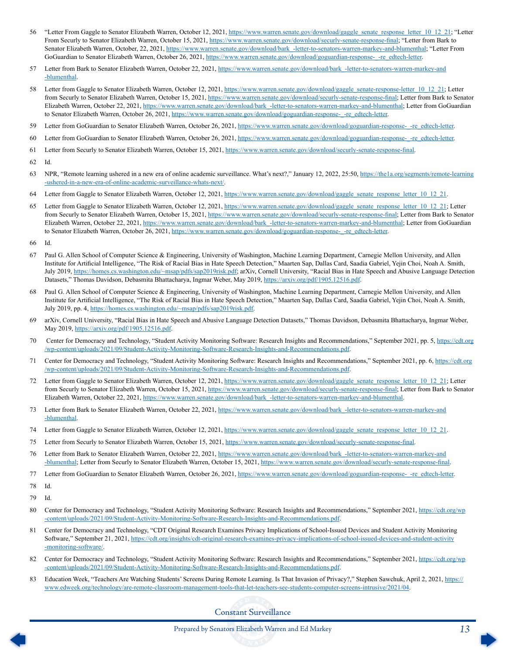- <span id="page-12-0"></span>[56](#page-6-0) "Letter From Gaggle to Senator Elizabeth Warren, October 12, 2021, [https://www.warren.senate.gov/download/gaggle\\_senate\\_response\\_letter\\_10\\_12\\_21;](https://www.warren.senate.gov/download/gaggle_senate_response_letter_10_12_21) "Letter From Securly to Senator Elizabeth Warren, October 15, 2021, [https://www.warren.senate.gov/download/securly-senate-response-](https://www.warren.senate.gov/download/securly-senate-response-final)final; "Letter from Bark to Senator Elizabeth Warren, October, 22, 2021, [https://www.warren.senate.gov/download/](https://www.warren.senate.gov/download/bark_-letter-to-senators-warren-markey-and-blumenthal)bark\_-letter-to-senators-warren-markey-and-blumenthal; "Letter From GoGuardian to Senator Elizabeth Warren, October 26, 2021, https://www.warren.senate.gov/download/goguardian-response--re\_edtech-letter.
- [57](#page-6-0) Letter from Bark to Senator Elizabeth Warren, October 22, 2021, [https://www.warren.senate.gov/download/](https://www.warren.senate.gov/download/bark_-letter-to-senators-warren-markey-and-blumenthal)bark\_-letter-to-senators-warren-markey-and [-blumenthal.](https://www.warren.senate.gov/download/bark_-letter-to-senators-warren-markey-and-blumenthal)
- [58](#page-6-0) Letter from Gaggle to Senator Elizabeth Warren, October 12, 2021, [https://www.warren.senate.gov/download/gaggle\\_senate-response-letter\\_10\\_12\\_21;](https://www.warren.senate.gov/download/gaggle_senate-response-letter_10_12_21) Letter from Securly to Senator Elizabeth Warren, October 15, 2021, [https://www.warren.senate.gov/download/securly-senate-response-](https://www.warren.senate.gov/download/securly-senate-response-final)final; Letter from Bark to Senator Elizabeth Warren, October 22, 2021, [https://www.warren.senate.gov/download/](https://www.warren.senate.gov/download/bark_-letter-to-senators-warren-markey-and-blumenthal)bark -letter-to-senators-warren-markey-and-blumenthal; Letter from GoGuardian to Senator Elizabeth Warren, October 26, 2021, https://www.warren.senate.gov/download/goguardian-response- -re\_edtech-letter.
- [59](#page-6-0) Letter from GoGuardian to Senator Elizabeth Warren, October 26, 2021, [https://www.warren.senate.gov/download/goguardian-response-\\_-re\\_edtech-letter.](https://www.warren.senate.gov/download/goguardian-response-_-re_edtech-letter)
- [60](#page-6-0) Letter from GoGuardian to Senator Elizabeth Warren, October 26, 2021, https://www.warren.senate.gov/download/goguardian-response--re\_edtech-letter.
- [61](#page-6-0) Letter from Securly to Senator Elizabeth Warren, October 15, 2021, [https://www.warren.senate.gov/download/securly-senate-response-](https://www.warren.senate.gov/download/securly-senate-response-final)final.
- [62](#page-6-0) Id.
- [63](#page-6-0) NPR, "Remote learning ushered in a new era of online academic surveillance. What's next?," January 12, 2022, 25:50, [https://the1a.org/segments/remote-learning](https://the1a.org/segments/remote-learning-ushered-in-a-new-era-of-online-academic-surveillance-whats-next/) [-ushered-in-a-new-era-of-online-academic-surveillance-whats-next/](https://the1a.org/segments/remote-learning-ushered-in-a-new-era-of-online-academic-surveillance-whats-next/).
- [64](#page-6-0) Letter from Gaggle to Senator Elizabeth Warren, October 12, 2021, https://www.warren.senate.gov/download/gaggle\_senate\_response\_letter\_10\_12\_21.
- [65](#page-6-0) Letter from Gaggle to Senator Elizabeth Warren, October 12, 2021, [https://www.warren.senate.gov/download/gaggle\\_senate\\_response\\_letter\\_10\\_12\\_21;](https://www.warren.senate.gov/download/gaggle_senate_response_letter_10_12_21) Letter from Securly to Senator Elizabeth Warren, October 15, 2021, [https://www.warren.senate.gov/download/securly-senate-response-](https://www.warren.senate.gov/download/securly-senate-response-final)final; Letter from Bark to Senator Elizabeth Warren, October 22, 2021, [https://www.warren.senate.gov/download/](https://www.warren.senate.gov/download/bark_-letter-to-senators-warren-markey-and-blumenthal)bark\_-letter-to-senators-warren-markey-and-blumenthal; Letter from GoGuardian to Senator Elizabeth Warren, October 26, 2021, https://www.warren.senate.gov/download/goguardian-response--re\_edtech-letter.
- [66](#page-7-0) Id.
- [67](#page-7-0) Paul G. Allen School of Computer Science & Engineering, University of Washington, Machine Learning Department, Carnegie Mellon University, and Allen Institute for Artificial Intelligence, "The Risk of Racial Bias in Hate Speech Detection," Maarten Sap, Dallas Card, Saadia Gabriel, Yejin Choi, Noah A. Smith, July 2019, [https://homes.cs.washington.edu/~msap/pdfs/](https://homes.cs.washington.edu/~msap/pdfs/sap2019risk.pdf)sap2019risk.pdf; arXiv, Cornell University, "Racial Bias in Hate Speech and Abusive Language Detection Datasets," Thomas Davidson, Debasmita Bhattacharya, Ingmar Weber, May 2019, [https://arxiv.org/pdf/1905.12516.pdf.](https://arxiv.org/pdf/1905.12516.pdf)
- [68](#page-7-0) Paul G. Allen School of Computer Science & Engineering, University of Washington, Machine Learning Department, Carnegie Mellon University, and Allen Institute for Artificial Intelligence, "The Risk of Racial Bias in Hate Speech Detection," Maarten Sap, Dallas Card, Saadia Gabriel, Yejin Choi, Noah A. Smith, July 2019, pp. 4, [https://homes.cs.washington.edu/~msap/pdfs/](https://homes.cs.washington.edu/~msap/pdfs/sap2019risk.pdf)sap2019risk.pdf.
- [69](#page-7-0) arXiv, Cornell University, "Racial Bias in Hate Speech and Abusive Language Detection Datasets," Thomas Davidson, Debasmita Bhattacharya, Ingmar Weber, May 2019, <https://arxiv.org/pdf/1905.12516.pdf>.
- [70](#page-7-0) Center for Democracy and Technology, "Student Activity Monitoring Software: Research Insights and Recommendations," September 2021, pp. 5, [https://cdt.org](https://cdt.org/wp-content/uploads/2021/09/Student-Activity-Monitoring-Software-Research-Insights-and-Recommendations.pdf) [/wp-content/uploads/2021/09/Student-Activity-Monitoring-Software-Research-Insights-and-Recommendations.pdf](https://cdt.org/wp-content/uploads/2021/09/Student-Activity-Monitoring-Software-Research-Insights-and-Recommendations.pdf).
- [71](#page-7-0) Center for Democracy and Technology, "Student Activity Monitoring Software: Research Insights and Recommendations," September 2021, pp. 6, [https://cdt.org](https://cdt.org/wp-content/uploads/2021/09/Student-Activity-Monitoring-Software-Research-Insights-and-Recommendations.pdf) [/wp-content/uploads/2021/09/Student-Activity-Monitoring-Software-Research-Insights-and-Recommendations.pdf](https://cdt.org/wp-content/uploads/2021/09/Student-Activity-Monitoring-Software-Research-Insights-and-Recommendations.pdf).
- [72](#page-7-0) Letter from Gaggle to Senator Elizabeth Warren, October 12, 2021, https://www.warren.senate.gov/download/gaggle\_senate\_response\_letter\_10\_12\_21; Letter from Securly to Senator Elizabeth Warren, October 15, 2021, [https://www.warren.senate.gov/download/securly-senate-response-](https://www.warren.senate.gov/download/securly-senate-response-final)final; Letter from Bark to Senator Elizabeth Warren, October 22, 2021, [https://www.warren.senate.gov/download/](https://www.warren.senate.gov/download/bark_-letter-to-senators-warren-markey-and-blumenthal)bark\_-letter-to-senators-warren-markey-and-blumenthal.
- [73](#page-7-0) Letter from Bark to Senator Elizabeth Warren, October 22, 2021, [https://www.warren.senate.gov/download/](https://www.warren.senate.gov/download/bark_-letter-to-senators-warren-markey-and-blumenthal)bark\_-letter-to-senators-warren-markey-and [-blumenthal.](https://www.warren.senate.gov/download/bark_-letter-to-senators-warren-markey-and-blumenthal)
- [74](#page-7-0) Letter from Gaggle to Senator Elizabeth Warren, October 12, 2021, https://www.warren.senate.gov/download/gaggle\_senate\_response\_letter\_10\_12\_21.
- [75](#page-7-0) Letter from Securly to Senator Elizabeth Warren, October 15, 2021, [https://www.warren.senate.gov/download/securly-senate-response-](https://www.warren.senate.gov/download/securly-senate-response-final)final.
- [76](#page-7-0) Letter from Bark to Senator Elizabeth Warren, October 22, 2021, [https://www.warren.senate.gov/download/](https://www.warren.senate.gov/download/bark_-letter-to-senators-warren-markey-and-blumenthal)bark -letter-to-senators-warren-markey-and [-blumenthal](https://www.warren.senate.gov/download/bark_-letter-to-senators-warren-markey-and-blumenthal); Letter from Securly to Senator Elizabeth Warren, October 15, 2021, [https://www.warren.senate.gov/download/securly-senate-response-](https://www.warren.senate.gov/download/securly-senate-response-final)final.
- [77](#page-7-0) Letter from GoGuardian to Senator Elizabeth Warren, October 26, 2021, https://www.warren.senate.gov/download/goguardian-response--re\_edtech-letter.
- [78](#page-7-0) Id.
- [79](#page-7-0) Id.
- [80](#page-8-0) Center for Democracy and Technology, "Student Activity Monitoring Software: Research Insights and Recommendations," September 2021, [https://cdt.org/wp](https://cdt.org/wp-content/uploads/2021/09/Student-Activity-Monitoring-Software-Research-Insights-and-Recommendations.pdf) [-content/uploads/2021/09/Student-Activity-Monitoring-Software-Research-Insights-and-Recommendations.pdf](https://cdt.org/wp-content/uploads/2021/09/Student-Activity-Monitoring-Software-Research-Insights-and-Recommendations.pdf).
- [81](#page-8-0) Center for Democracy and Technology, "CDT Original Research Examines Privacy Implications of School-Issued Devices and Student Activity Monitoring Software," September 21, 2021, [https://cdt.org/insights/cdt-original-research-examines-privacy-implications-of-school-issued-devices-and-student-activity](https://cdt.org/insights/cdt-original-research-examines-privacy-implications-of-school-issued-devices-and-student-activity-monitoring-software/) [-monitoring-software/.](https://cdt.org/insights/cdt-original-research-examines-privacy-implications-of-school-issued-devices-and-student-activity-monitoring-software/)
- [82](#page-8-0) Center for Democracy and Technology, "Student Activity Monitoring Software: Research Insights and Recommendations," September 2021, [https://cdt.org/wp](https://cdt.org/wp-content/uploads/2021/09/Student-Activity-Monitoring-Software-Research-Insights-and-Recommendations.pdf) [-content/uploads/2021/09/Student-Activity-Monitoring-Software-Research-Insights-and-Recommendations.pdf](https://cdt.org/wp-content/uploads/2021/09/Student-Activity-Monitoring-Software-Research-Insights-and-Recommendations.pdf).
- [83](#page-8-0) Education Week, "Teachers Are Watching Students' Screens During Remote Learning. Is That Invasion of Privacy?," Stephen Sawchuk, April 2, 2021, [https://](https://www.edweek.org/technology/are-remote-classroom-management-tools-that-let-teachers-see-students-computer-screens-intrusive/2021/04) www.edweek[.org/technology/are-remote-classroom-management-tools-that-let-teachers-see-students-computer-screens-intrusive/2021/](https://www.edweek.org/technology/are-remote-classroom-management-tools-that-let-teachers-see-students-computer-screens-intrusive/2021/04)04.